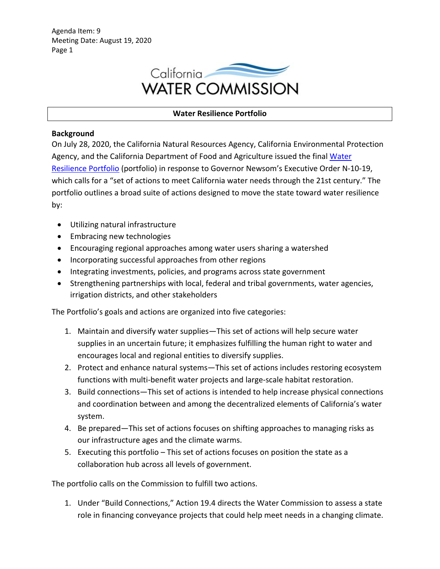Agenda Item: 9 Meeting Date: August 19, 2020 Page 1



## **Water Resilience Portfolio**

## **Background**

On July 28, 2020, the California Natural Resources Agency, California Environmental Protection Agency, and the California Department of Food and Agriculture issued the final [Water](https://waterresilience.ca.gov/)  [Resilience Portfolio](https://waterresilience.ca.gov/) (portfolio) in response to Governor Newsom's Executive Order N-10-19, which calls for a "set of actions to meet California water needs through the 21st century." The portfolio outlines a broad suite of actions designed to move the state toward water resilience by:

- Utilizing natural infrastructure
- Embracing new technologies
- Encouraging regional approaches among water users sharing a watershed
- Incorporating successful approaches from other regions
- Integrating investments, policies, and programs across state government
- Strengthening partnerships with local, federal and tribal governments, water agencies, irrigation districts, and other stakeholders

The Portfolio's goals and actions are organized into five categories:

- 1. Maintain and diversify water supplies—This set of actions will help secure water supplies in an uncertain future; it emphasizes fulfilling the human right to water and encourages local and regional entities to diversify supplies.
- 2. Protect and enhance natural systems—This set of actions includes restoring ecosystem functions with multi-benefit water projects and large-scale habitat restoration.
- 3. Build connections—This set of actions is intended to help increase physical connections and coordination between and among the decentralized elements of California's water system.
- 4. Be prepared—This set of actions focuses on shifting approaches to managing risks as our infrastructure ages and the climate warms.
- 5. Executing this portfolio This set of actions focuses on position the state as a collaboration hub across all levels of government.

The portfolio calls on the Commission to fulfill two actions.

1. Under "Build Connections," Action 19.4 directs the Water Commission to assess a state role in financing conveyance projects that could help meet needs in a changing climate.